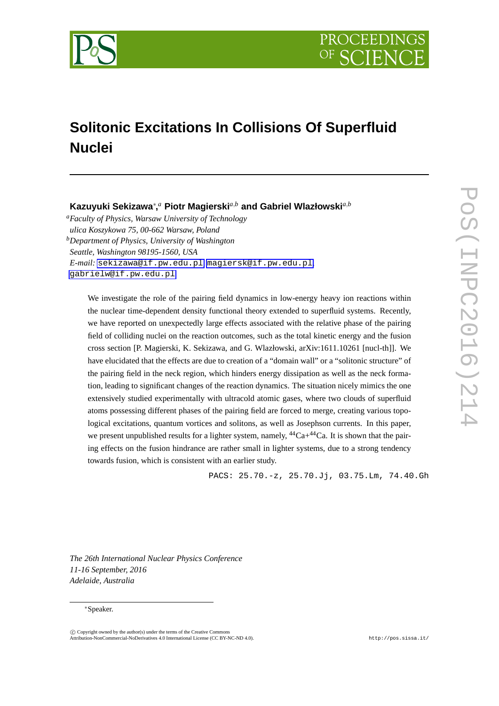

# **Solitonic Excitations In Collisions Of Superfluid Nuclei**

# **Kazuyuki Sekizawa***∗* **,** *<sup>a</sup>* **Piotr Magierski***a,<sup>b</sup>* **and Gabriel Wlazłowski***a,<sup>b</sup>*

*<sup>a</sup>Faculty of Physics, Warsaw University of Technology ulica Koszykowa 75, 00-662 Warsaw, Poland <sup>b</sup>Department of Physics, University of Washington Seattle, Washington 98195-1560, USA E-mail:* [sekizawa@if.pw.edu.pl](mailto:sekizawa@if.pw.edu.pl)*,* [magiersk@if.pw.edu.pl](mailto:magiersk@if.pw.edu.pl)*,* [gabrielw@if.pw.edu.pl](mailto:gabrielw@if.pw.edu.pl)

We investigate the role of the pairing field dynamics in low-energy heavy ion reactions within the nuclear time-dependent density functional theory extended to superfluid systems. Recently, we have reported on unexpectedly large effects associated with the relative phase of the pairing field of colliding nuclei on the reaction outcomes, such as the total kinetic energy and the fusion cross section [P. Magierski, K. Sekizawa, and G. Wlazłowski, arXiv:1611.10261 [nucl-th]]. We have elucidated that the effects are due to creation of a "domain wall" or a "solitonic structure" of the pairing field in the neck region, which hinders energy dissipation as well as the neck formation, leading to significant changes of the reaction dynamics. The situation nicely mimics the one extensively studied experimentally with ultracold atomic gases, where two clouds of superfluid atoms possessing different phases of the pairing field are forced to merge, creating various topological excitations, quantum vortices and solitons, as well as Josephson currents. In this paper, we present unpublished results for a lighter system, namely,  ${}^{44}Ca+{}^{44}Ca$ . It is shown that the pairing effects on the fusion hindrance are rather small in lighter systems, due to a strong tendency towards fusion, which is consistent with an earlier study.

PACS: 25.70.-z, 25.70.Jj, 03.75.Lm, 74.40.Gh

*The 26th International Nuclear Physics Conference 11-16 September, 2016 Adelaide, Australia*

#### *∗*Speaker.

 $\circled{c}$  Copyright owned by the author(s) under the terms of the Creative Common Attribution-NonCommercial-NoDerivatives 4.0 International License (CC BY-NC-ND 4.0). http://pos.sissa.it/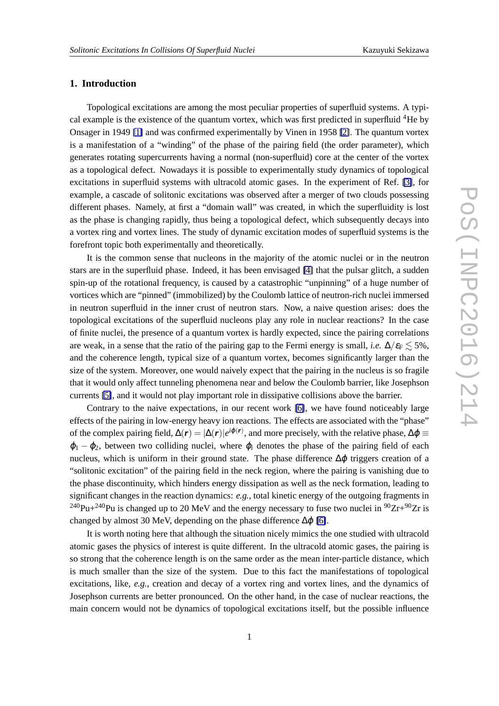## **1. Introduction**

Topological excitations are among the most peculiar properties of superfluid systems. A typical example is the existence of the quantum vortex, which was first predicted in superfluid  ${}^{4}$ He by Onsager in 1949 [\[1\]](#page-6-0) and was confirmed experimentally by Vinen in 1958 [\[2\]](#page-6-0). The quantum vortex is a manifestation of a "winding" of the phase of the pairing field (the order parameter), which generates rotating supercurrents having a normal (non-superfluid) core at the center of the vortex as a topological defect. Nowadays it is possible to experimentally study dynamics of topological excitations in superfluid systems with ultracold atomic gases. In the experiment of Ref. [\[3\]](#page-6-0), for example, a cascade of solitonic excitations was observed after a merger of two clouds possessing different phases. Namely, at first a "domain wall" was created, in which the superfluidity is lost as the phase is changing rapidly, thus being a topological defect, which subsequently decays into a vortex ring and vortex lines. The study of dynamic excitation modes of superfluid systems is the forefront topic both experimentally and theoretically.

It is the common sense that nucleons in the majority of the atomic nuclei or in the neutron stars are in the superfluid phase. Indeed, it has been envisaged [\[4\]](#page-6-0) that the pulsar glitch, a sudden spin-up of the rotational frequency, is caused by a catastrophic "unpinning" of a huge number of vortices which are "pinned" (immobilized) by the Coulomb lattice of neutron-rich nuclei immersed in neutron superfluid in the inner crust of neutron stars. Now, a naive question arises: does the topological excitations of the superfluid nucleons play any role in nuclear reactions? In the case of finite nuclei, the presence of a quantum vortex is hardly expected, since the pairing correlations are weak, in a sense that the ratio of the pairing gap to the Fermi energy is small, *i.e.*  $\Delta/\varepsilon_F \leq 5\%$ , and the coherence length, typical size of a quantum vortex, becomes significantly larger than the size of the system. Moreover, one would naively expect that the pairing in the nucleus is so fragile that it would only affect tunneling phenomena near and below the Coulomb barrier, like Josephson currents [\[5\]](#page-6-0), and it would not play important role in dissipative collisions above the barrier.

Contrary to the naive expectations, in our recent work [\[6\]](#page-6-0), we have found noticeably large effects of the pairing in low-energy heavy ion reactions. The effects are associated with the "phase" of the complex pairing field,  $\Delta(\mathbf{r}) = |\Delta(\mathbf{r})|e^{i\varphi(\mathbf{r})}$ , and more precisely, with the relative phase,  $\Delta\varphi \equiv$ <sup>ϕ</sup><sup>1</sup> *−* <sup>ϕ</sup>2, between two colliding nuclei, where <sup>ϕ</sup>*<sup>i</sup>* denotes the phase of the pairing field of each nucleus, which is uniform in their ground state. The phase difference  $\Delta\varphi$  triggers creation of a "solitonic excitation" of the pairing field in the neck region, where the pairing is vanishing due to the phase discontinuity, which hinders energy dissipation as well as the neck formation, leading to significant changes in the reaction dynamics: *e.g.*, total kinetic energy of the outgoing fragments in <sup>240</sup>Pu+<sup>240</sup>Pu is changed up to 20 MeV and the energy necessary to fuse two nuclei in <sup>90</sup>Zr+<sup>90</sup>Zr is changed by almost 30 MeV, depending on the phase difference  $\Delta \varphi$  [\[6\]](#page-6-0).

It is worth noting here that although the situation nicely mimics the one studied with ultracold atomic gases the physics of interest is quite different. In the ultracold atomic gases, the pairing is so strong that the coherence length is on the same order as the mean inter-particle distance, which is much smaller than the size of the system. Due to this fact the manifestations of topological excitations, like, *e.g.*, creation and decay of a vortex ring and vortex lines, and the dynamics of Josephson currents are better pronounced. On the other hand, in the case of nuclear reactions, the main concern would not be dynamics of topological excitations itself, but the possible influence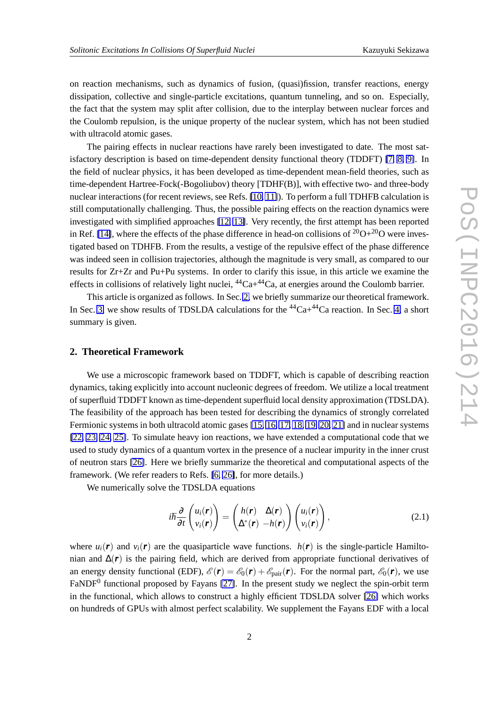on reaction mechanisms, such as dynamics of fusion, (quasi)fission, transfer reactions, energy dissipation, collective and single-particle excitations, quantum tunneling, and so on. Especially, the fact that the system may split after collision, due to the interplay between nuclear forces and the Coulomb repulsion, is the unique property of the nuclear system, which has not been studied with ultracold atomic gases.

The pairing effects in nuclear reactions have rarely been investigated to date. The most satisfactory description is based on time-dependent density functional theory (TDDFT) [\[7,](#page-6-0) [8,](#page-6-0) [9\]](#page-6-0). In the field of nuclear physics, it has been developed as time-dependent mean-field theories, such as time-dependent Hartree-Fock(-Bogoliubov) theory [TDHF(B)], with effective two- and three-body nuclear interactions (for recent reviews, see Refs. [\[10,](#page-6-0) [11\]](#page-6-0)). To perform a full TDHFB calculation is still computationally challenging. Thus, the possible pairing effects on the reaction dynamics were investigated with simplified approaches [\[12,](#page-6-0) [13\]](#page-6-0). Very recently, the first attempt has been reported in Ref. [\[14\]](#page-6-0), where the effects of the phase difference in head-on collisions of  $20O+20O$  were investigated based on TDHFB. From the results, a vestige of the repulsive effect of the phase difference was indeed seen in collision trajectories, although the magnitude is very small, as compared to our results for Zr+Zr and Pu+Pu systems. In order to clarify this issue, in this article we examine the effects in collisions of relatively light nuclei,  ${}^{44}Ca+{}^{44}Ca$ , at energies around the Coulomb barrier.

This article is organized as follows. In Sec. 2, we briefly summarize our theoretical framework. In Sec. [3,](#page-4-0) we show results of TDSLDA calculations for the  ${}^{44}Ca+{}^{44}Ca$  reaction. In Sec. [4,](#page-5-0) a short summary is given.

#### **2. Theoretical Framework**

We use a microscopic framework based on TDDFT, which is capable of describing reaction dynamics, taking explicitly into account nucleonic degrees of freedom. We utilize a local treatment of superfluid TDDFT known as time-dependent superfluid local density approximation (TDSLDA). The feasibility of the approach has been tested for describing the dynamics of strongly correlated Fermionic systems in both ultracold atomic gases [\[15,](#page-7-0) [16,](#page-7-0) [17,](#page-7-0) [18,](#page-7-0) [19,](#page-7-0) [20,](#page-7-0) [21\]](#page-7-0) and in nuclear systems [\[22,](#page-7-0) [23,](#page-7-0) [24,](#page-7-0) [25\]](#page-7-0). To simulate heavy ion reactions, we have extended a computational code that we used to study dynamics of a quantum vortex in the presence of a nuclear impurity in the inner crust of neutron stars [\[26\]](#page-7-0). Here we briefly summarize the theoretical and computational aspects of the framework. (We refer readers to Refs. [\[6,](#page-6-0) [26\]](#page-7-0), for more details.)

We numerically solve the TDSLDA equations

$$
i\hbar \frac{\partial}{\partial t} \begin{pmatrix} u_i(\mathbf{r}) \\ v_i(\mathbf{r}) \end{pmatrix} = \begin{pmatrix} h(\mathbf{r}) & \Delta(\mathbf{r}) \\ \Delta^*(\mathbf{r}) & -h(\mathbf{r}) \end{pmatrix} \begin{pmatrix} u_i(\mathbf{r}) \\ v_i(\mathbf{r}) \end{pmatrix}, \qquad (2.1)
$$

where  $u_i(\mathbf{r})$  and  $v_i(\mathbf{r})$  are the quasiparticle wave functions.  $h(\mathbf{r})$  is the single-particle Hamiltonian and  $\Delta(r)$  is the pairing field, which are derived from appropriate functional derivatives of an energy density functional (EDF),  $\mathscr{E}(\mathbf{r}) = \mathscr{E}_0(\mathbf{r}) + \mathscr{E}_{pair}(\mathbf{r})$ . For the normal part,  $\mathscr{E}_0(\mathbf{r})$ , we use FaNDF<sup>0</sup> functional proposed by Fayans [\[27\]](#page-7-0). In the present study we neglect the spin-orbit term in the functional, which allows to construct a highly efficient TDSLDA solver [\[26\]](#page-7-0) which works on hundreds of GPUs with almost perfect scalability. We supplement the Fayans EDF with a local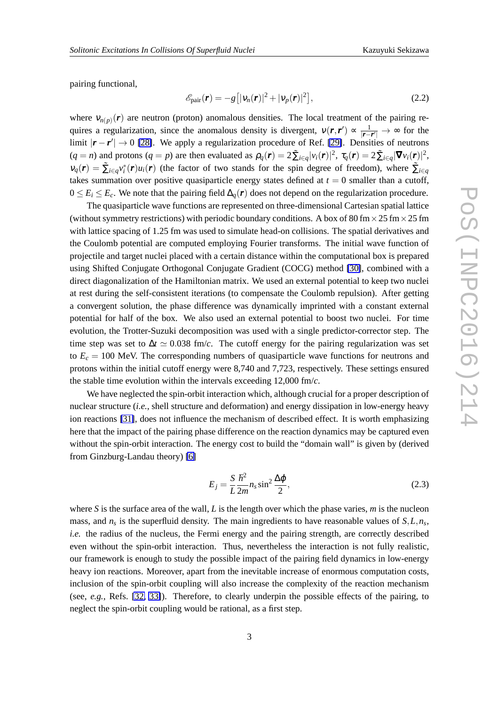<span id="page-3-0"></span>pairing functional,

$$
\mathscr{E}_{\text{pair}}(\boldsymbol{r}) = -g\big[|\boldsymbol{v}_n(\boldsymbol{r})|^2 + |\boldsymbol{v}_p(\boldsymbol{r})|^2\big],\tag{2.2}
$$

where  $v_{n(p)}(r)$  are neutron (proton) anomalous densities. The local treatment of the pairing requires a regularization, since the anomalous density is divergent,  $v(\mathbf{r}, \mathbf{r}') \propto \frac{1}{|\mathbf{r} - \mathbf{r}'|}$ *|r−r ′ <sup>|</sup> <sup>→</sup>* <sup>∞</sup> for the limit *|r − r ′ | →* 0 [\[28\]](#page-7-0). We apply a regularization procedure of Ref. [\[29\]](#page-7-0). Densities of neutrons  $(q = n)$  and protons  $(q = p)$  are then evaluated as  $\rho_q(\mathbf{r}) = 2 \tilde{\sum}_{i \in q} |v_i(\mathbf{r})|^2$ ,  $\tau_q(\mathbf{r}) = 2 \tilde{\sum}_{i \in q} |\nabla v_i(\mathbf{r})|^2$ ,  $v_q(r) = \sum_{i \in q} v_i^*(r) u_i(r)$  (the factor of two stands for the spin degree of freedom), where  $\sum_{i \in q} v_i^*(r) u_i(r)$ takes summation over positive quasiparticle energy states defined at  $t = 0$  smaller than a cutoff,  $0 \le E_i \le E_c$ . We note that the pairing field  $\Delta_q(r)$  does not depend on the regularization procedure.

The quasiparticle wave functions are represented on three-dimensional Cartesian spatial lattice (without symmetry restrictions) with periodic boundary conditions. A box of 80 fm  $\times$  25 fm  $\times$  25 fm with lattice spacing of 1.25 fm was used to simulate head-on collisions. The spatial derivatives and the Coulomb potential are computed employing Fourier transforms. The initial wave function of projectile and target nuclei placed with a certain distance within the computational box is prepared using Shifted Conjugate Orthogonal Conjugate Gradient (COCG) method [\[30\]](#page-7-0), combined with a direct diagonalization of the Hamiltonian matrix. We used an external potential to keep two nuclei at rest during the self-consistent iterations (to compensate the Coulomb repulsion). After getting a convergent solution, the phase difference was dynamically imprinted with a constant external potential for half of the box. We also used an external potential to boost two nuclei. For time evolution, the Trotter-Suzuki decomposition was used with a single predictor-corrector step. The time step was set to  $\Delta t \simeq 0.038$  fm/*c*. The cutoff energy for the pairing regularization was set to  $E_c = 100$  MeV. The corresponding numbers of quasiparticle wave functions for neutrons and protons within the initial cutoff energy were 8,740 and 7,723, respectively. These settings ensured the stable time evolution within the intervals exceeding 12,000 fm/*c*.

We have neglected the spin-orbit interaction which, although crucial for a proper description of nuclear structure (*i.e.*, shell structure and deformation) and energy dissipation in low-energy heavy ion reactions [\[31\]](#page-7-0), does not influence the mechanism of described effect. It is worth emphasizing here that the impact of the pairing phase difference on the reaction dynamics may be captured even without the spin-orbit interaction. The energy cost to build the "domain wall" is given by (derived from Ginzburg-Landau theory) [\[6\]](#page-6-0)

$$
E_j = \frac{S}{L} \frac{\hbar^2}{2m} n_s \sin^2 \frac{\Delta \varphi}{2},\tag{2.3}
$$

where *S* is the surface area of the wall, *L* is the length over which the phase varies, *m* is the nucleon mass, and *n<sup>s</sup>* is the superfluid density. The main ingredients to have reasonable values of *S,L,n<sup>s</sup>* , *i.e.* the radius of the nucleus, the Fermi energy and the pairing strength, are correctly described even without the spin-orbit interaction. Thus, nevertheless the interaction is not fully realistic, our framework is enough to study the possible impact of the pairing field dynamics in low-energy heavy ion reactions. Moreover, apart from the inevitable increase of enormous computation costs, inclusion of the spin-orbit coupling will also increase the complexity of the reaction mechanism (see, *e.g.*, Refs. [\[32,](#page-7-0) [33\]](#page-7-0)). Therefore, to clearly underpin the possible effects of the pairing, to neglect the spin-orbit coupling would be rational, as a first step.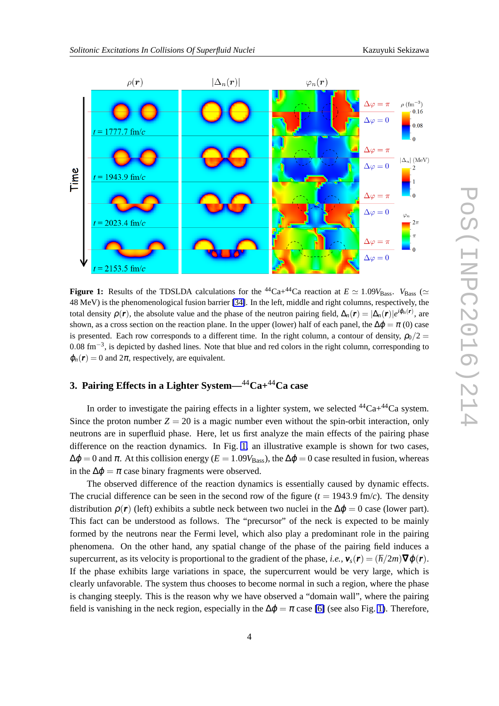<span id="page-4-0"></span>

**Figure 1:** Results of the TDSLDA calculations for the <sup>44</sup>Ca+<sup>44</sup>Ca reaction at  $E \simeq 1.09V_{\text{Bass}}$ .  $V_{\text{Bass}} \simeq$ 48 MeV) is the phenomenological fusion barrier [\[34\]](#page-7-0). In the left, middle and right columns, respectively, the total density  $\rho(\mathbf{r})$ , the absolute value and the phase of the neutron pairing field,  $\Delta_n(\mathbf{r}) = |\Delta_n(\mathbf{r})|e^{i\phi_n(\mathbf{r})}$ , are shown, as a cross section on the reaction plane. In the upper (lower) half of each panel, the  $\Delta\phi = \pi$  (0) case is presented. Each row corresponds to a different time. In the right column, a contour of density,  $\rho_0/2$  = 0*.*08 fm*−*<sup>3</sup> , is depicted by dashed lines. Note that blue and red colors in the right column, corresponding to  $\varphi_n(\mathbf{r}) = 0$  and  $2\pi$ , respectively, are equivalent.

# **3. Pairing Effects in a Lighter System—**44**Ca+**44**Ca case**

In order to investigate the pairing effects in a lighter system, we selected  $^{44}Ca + ^{44}Ca$  system. Since the proton number  $Z = 20$  is a magic number even without the spin-orbit interaction, only neutrons are in superfluid phase. Here, let us first analyze the main effects of the pairing phase difference on the reaction dynamics. In Fig. 1, an illustrative example is shown for two cases,  $\Delta \phi = 0$  and  $\pi$ . At this collision energy ( $E = 1.09V_{\text{Bass}}$ ), the  $\Delta \phi = 0$  case resulted in fusion, whereas in the  $\Delta \varphi = \pi$  case binary fragments were observed.

The observed difference of the reaction dynamics is essentially caused by dynamic effects. The crucial difference can be seen in the second row of the figure  $(t = 1943.9 \text{ fm/c})$ . The density distribution  $\rho(r)$  (left) exhibits a subtle neck between two nuclei in the  $\Delta \varphi = 0$  case (lower part). This fact can be understood as follows. The "precursor" of the neck is expected to be mainly formed by the neutrons near the Fermi level, which also play a predominant role in the pairing phenomena. On the other hand, any spatial change of the phase of the pairing field induces a supercurrent, as its velocity is proportional to the gradient of the phase, *i.e.*,  $v_s(r) = (h/2m)\nabla \varphi(r)$ . If the phase exhibits large variations in space, the supercurrent would be very large, which is clearly unfavorable. The system thus chooses to become normal in such a region, where the phase is changing steeply. This is the reason why we have observed a "domain wall", where the pairing field is vanishing in the neck region, especially in the  $\Delta \varphi = \pi$  case [\[6\]](#page-6-0) (see also Fig. 1). Therefore,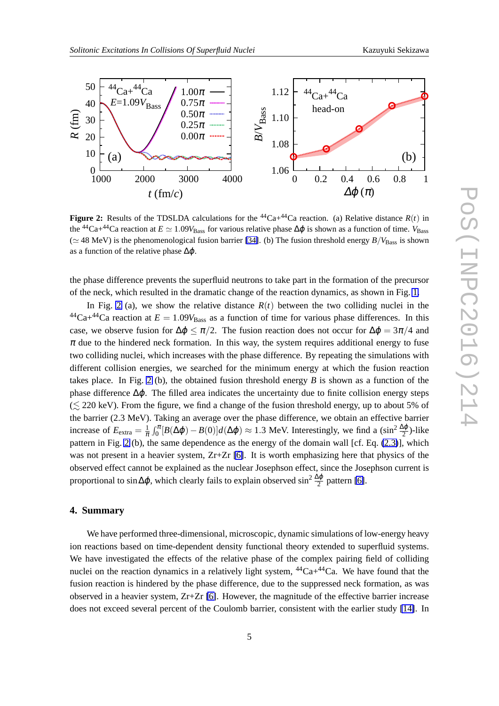<span id="page-5-0"></span>

**Figure 2:** Results of the TDSLDA calculations for the <sup>44</sup>Ca+<sup>44</sup>Ca reaction. (a) Relative distance  $R(t)$  in the <sup>44</sup>Ca+<sup>44</sup>Ca reaction at  $E \simeq 1.09V_{\text{Bass}}$  for various relative phase  $\Delta\varphi$  is shown as a function of time.  $V_{\text{Bass}}$ ( $\simeq$  48 MeV) is the phenomenological fusion barrier [\[34\]](#page-7-0). (b) The fusion threshold energy *B*/*V*<sub>Bass</sub> is shown as a function of the relative phase  $\Delta \varphi$ .

the phase difference prevents the superfluid neutrons to take part in the formation of the precursor of the neck, which resulted in the dramatic change of the reaction dynamics, as shown in Fig. [1.](#page-4-0)

In Fig. 2 (a), we show the relative distance  $R(t)$  between the two colliding nuclei in the  $^{44}Ca+^{44}Ca$  reaction at  $E = 1.09V_{Bass}$  as a function of time for various phase differences. In this case, we observe fusion for  $\Delta \varphi \leq \pi/2$ . The fusion reaction does not occur for  $\Delta \varphi = 3\pi/4$  and  $\pi$  due to the hindered neck formation. In this way, the system requires additional energy to fuse two colliding nuclei, which increases with the phase difference. By repeating the simulations with different collision energies, we searched for the minimum energy at which the fusion reaction takes place. In Fig. 2 (b), the obtained fusion threshold energy *B* is shown as a function of the phase difference  $\Delta\varphi$ . The filled area indicates the uncertainty due to finite collision energy steps  $(\leq 220 \text{ keV})$ . From the figure, we find a change of the fusion threshold energy, up to about 5% of the barrier (2.3 MeV). Taking an average over the phase difference, we obtain an effective barrier increase of  $E_{\text{extra}} = \frac{1}{\pi} \int_0^{\pi} [B(\Delta \varphi) - B(0)] d(\Delta \varphi) \approx 1.3 \text{ MeV. Interestingly, we find a } (\sin^2 \frac{\Delta \varphi}{2})$ -like pattern in Fig. 2 (b), the same dependence as the energy of the domain wall [cf. Eq. [\(2.3\)](#page-3-0)], which was not present in a heavier system,  $Zr+Zr$  [\[6\]](#page-6-0). It is worth emphasizing here that physics of the observed effect cannot be explained as the nuclear Josephson effect, since the Josephson current is proportional to sin∆ $\varphi$ , which clearly fails to explain observed sin<sup>2</sup>  $\frac{\Delta \varphi}{2}$  pattern [\[6\]](#page-6-0).

### **4. Summary**

We have performed three-dimensional, microscopic, dynamic simulations of low-energy heavy ion reactions based on time-dependent density functional theory extended to superfluid systems. We have investigated the effects of the relative phase of the complex pairing field of colliding nuclei on the reaction dynamics in a relatively light system,  ${}^{44}Ca+{}^{44}Ca$ . We have found that the fusion reaction is hindered by the phase difference, due to the suppressed neck formation, as was observed in a heavier system,  $Zr+Zr$  [\[6\]](#page-6-0). However, the magnitude of the effective barrier increase does not exceed several percent of the Coulomb barrier, consistent with the earlier study [\[14\]](#page-6-0). In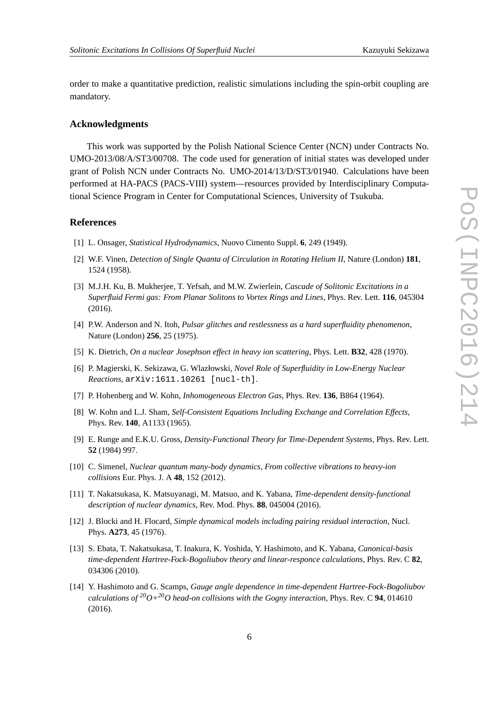<span id="page-6-0"></span>order to make a quantitative prediction, realistic simulations including the spin-orbit coupling are mandatory.

#### **Acknowledgments**

This work was supported by the Polish National Science Center (NCN) under Contracts No. UMO-2013/08/A/ST3/00708. The code used for generation of initial states was developed under grant of Polish NCN under Contracts No. UMO-2014/13/D/ST3/01940. Calculations have been performed at HA-PACS (PACS-VIII) system—resources provided by Interdisciplinary Computational Science Program in Center for Computational Sciences, University of Tsukuba.

#### **References**

- [1] L. Onsager, *Statistical Hydrodynamics*, Nuovo Cimento Suppl. **6**, 249 (1949).
- [2] W.F. Vinen, *Detection of Single Quanta of Circulation in Rotating Helium II*, Nature (London) **181**, 1524 (1958).
- [3] M.J.H. Ku, B. Mukherjee, T. Yefsah, and M.W. Zwierlein, *Cascade of Solitonic Excitations in a Superfluid Fermi gas: From Planar Solitons to Vortex Rings and Lines*, Phys. Rev. Lett. **116**, 045304 (2016).
- [4] P.W. Anderson and N. Itoh, *Pulsar glitches and restlessness as a hard superfluidity phenomenon*, Nature (London) **256**, 25 (1975).
- [5] K. Dietrich, *On a nuclear Josephson effect in heavy ion scattering*, Phys. Lett. **B32**, 428 (1970).
- [6] P. Magierski, K. Sekizawa, G. Wlazłowski, *Novel Role of Superfluidity in Low-Energy Nuclear Reactions*, arXiv:1611.10261 [nucl-th].
- [7] P. Hohenberg and W. Kohn, *Inhomogeneous Electron Gas*, Phys. Rev. **136**, B864 (1964).
- [8] W. Kohn and L.J. Sham, *Self-Consistent Equations Including Exchange and Correlation Effects*, Phys. Rev. **140**, A1133 (1965).
- [9] E. Runge and E.K.U. Gross, *Density-Functional Theory for Time-Dependent Systems*, Phys. Rev. Lett. **52** (1984) 997.
- [10] C. Simenel, *Nuclear quantum many-body dynamics, From collective vibrations to heavy-ion collisions* Eur. Phys. J. A **48**, 152 (2012).
- [11] T. Nakatsukasa, K. Matsuyanagi, M. Matsuo, and K. Yabana, *Time-dependent density-functional description of nuclear dynamics*, Rev. Mod. Phys. **88**, 045004 (2016).
- [12] J. Blocki and H. Flocard, *Simple dynamical models including pairing residual interaction*, Nucl. Phys. **A273**, 45 (1976).
- [13] S. Ebata, T. Nakatsukasa, T. Inakura, K. Yoshida, Y. Hashimoto, and K. Yabana, *Canonical-basis time-dependent Hartree-Fock-Bogoliubov theory and linear-responce calculations*, Phys. Rev. C **82**, 034306 (2010).
- [14] Y. Hashimoto and G. Scamps, *Gauge angle dependence in time-dependent Hartree-Fock-Bogoliubov calculations of <sup>20</sup>O+20O head-on collisions with the Gogny interaction*, Phys. Rev. C **94**, 014610 (2016).